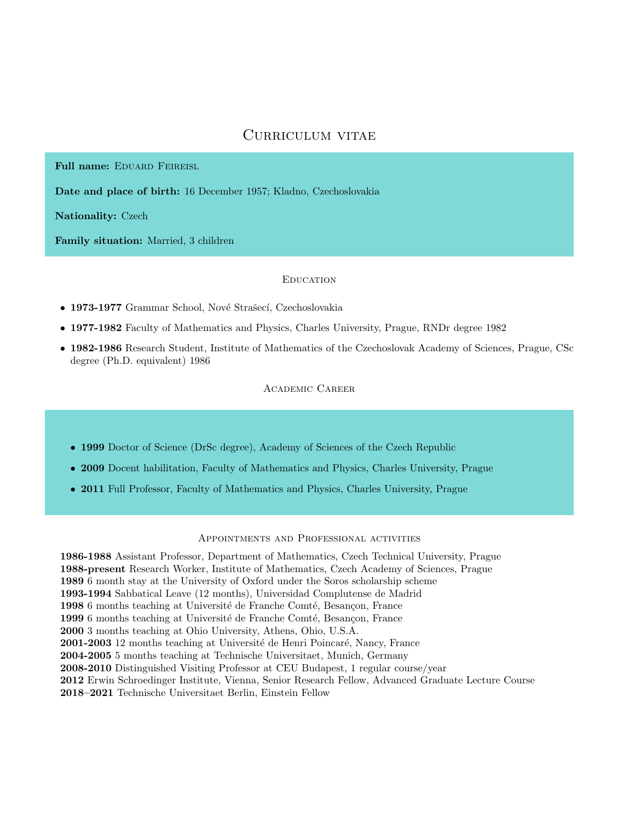# Curriculum vitae

Full name: EDUARD FEIREISL

Date and place of birth: 16 December 1957; Kladno, Czechoslovakia

Nationality: Czech

Family situation: Married, 3 children

# **EDUCATION**

• 1973-1977 Grammar School, Nové Strašecí, Czechoslovakia

- 1977-1982 Faculty of Mathematics and Physics, Charles University, Prague, RNDr degree 1982
- 1982-1986 Research Student, Institute of Mathematics of the Czechoslovak Academy of Sciences, Prague, CSc degree (Ph.D. equivalent) 1986

Academic Career

- 1999 Doctor of Science (DrSc degree), Academy of Sciences of the Czech Republic
- 2009 Docent habilitation, Faculty of Mathematics and Physics, Charles University, Prague
- 2011 Full Professor, Faculty of Mathematics and Physics, Charles University, Prague

# Appointments and Professional activities

1986-1988 Assistant Professor, Department of Mathematics, Czech Technical University, Prague 1988-present Research Worker, Institute of Mathematics, Czech Academy of Sciences, Prague 1989 6 month stay at the University of Oxford under the Soros scholarship scheme 1993-1994 Sabbatical Leave (12 months), Universidad Complutense de Madrid 1998 6 months teaching at Université de Franche Comté, Besançon, France 1999 6 months teaching at Université de Franche Comté, Besançon, France 2000 3 months teaching at Ohio University, Athens, Ohio, U.S.A. 2001-2003 12 months teaching at Université de Henri Poincaré, Nancy, France 2004-2005 5 months teaching at Technische Universitaet, Munich, Germany 2008-2010 Distinguished Visiting Professor at CEU Budapest, 1 regular course/year 2012 Erwin Schroedinger Institute, Vienna, Senior Research Fellow, Advanced Graduate Lecture Course 2018–2021 Technische Universitaet Berlin, Einstein Fellow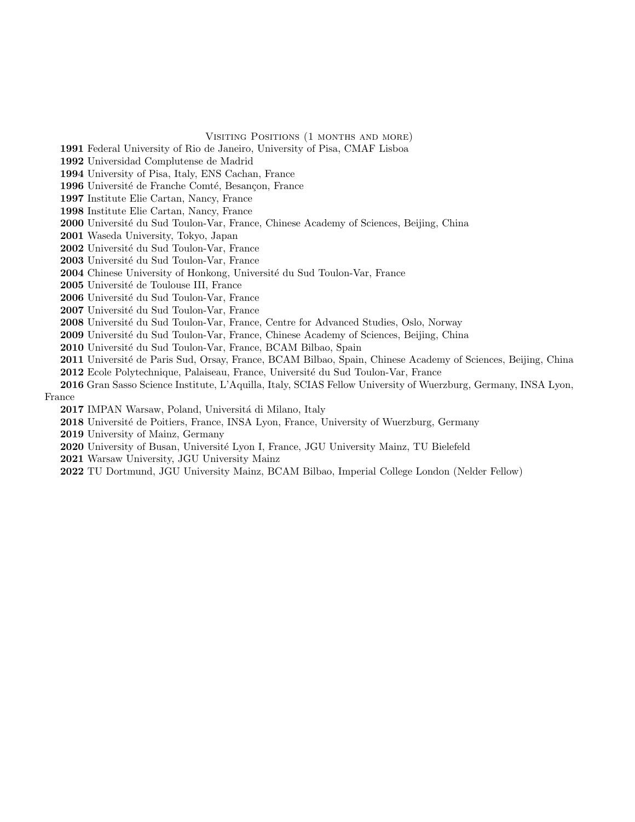Visiting Positions (1 months and more)

1991 Federal University of Rio de Janeiro, University of Pisa, CMAF Lisboa

1992 Universidad Complutense de Madrid

1994 University of Pisa, Italy, ENS Cachan, France

1996 Université de Franche Comté, Besançon, France

1997 Institute Elie Cartan, Nancy, France

1998 Institute Elie Cartan, Nancy, France

2000 Université du Sud Toulon-Var, France, Chinese Academy of Sciences, Beijing, China

2001 Waseda University, Tokyo, Japan

2002 Université du Sud Toulon-Var, France

2003 Université du Sud Toulon-Var, France

2004 Chinese University of Honkong, Université du Sud Toulon-Var, France

2005 Université de Toulouse III, France

2006 Université du Sud Toulon-Var, France

2007 Université du Sud Toulon-Var, France

**2008** Université du Sud Toulon-Var, France, Centre for Advanced Studies, Oslo, Norway

2009 Université du Sud Toulon-Var, France, Chinese Academy of Sciences, Beijing, China

2010 Université du Sud Toulon-Var, France, BCAM Bilbao, Spain

2011 Université de Paris Sud, Orsay, France, BCAM Bilbao, Spain, Chinese Academy of Sciences, Beijing, China

2012 Ecole Polytechnique, Palaiseau, France, Université du Sud Toulon-Var, France

2016 Gran Sasso Science Institute, L'Aquilla, Italy, SCIAS Fellow University of Wuerzburg, Germany, INSA Lyon, France

2017 IMPAN Warsaw, Poland, Universitá di Milano, Italy

2018 Université de Poitiers, France, INSA Lyon, France, University of Wuerzburg, Germany

2019 University of Mainz, Germany

2020 University of Busan, Université Lyon I, France, JGU University Mainz, TU Bielefeld

2021 Warsaw University, JGU University Mainz

2022 TU Dortmund, JGU University Mainz, BCAM Bilbao, Imperial College London (Nelder Fellow)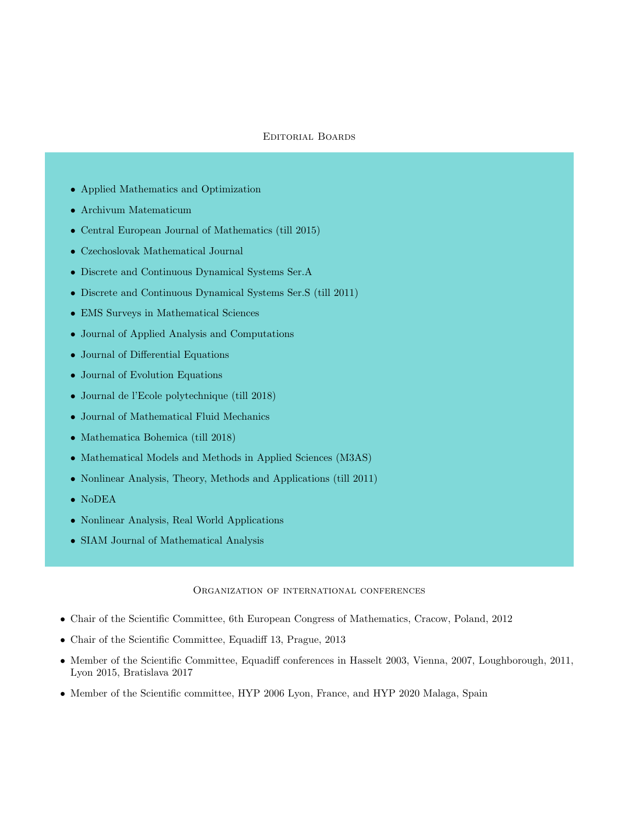# Editorial Boards

- Applied Mathematics and Optimization
- Archivum Matematicum
- Central European Journal of Mathematics (till 2015)
- Czechoslovak Mathematical Journal
- Discrete and Continuous Dynamical Systems Ser.A
- Discrete and Continuous Dynamical Systems Ser.S (till 2011)
- EMS Surveys in Mathematical Sciences
- Journal of Applied Analysis and Computations
- Journal of Differential Equations
- Journal of Evolution Equations
- Journal de l'Ecole polytechnique (till 2018)
- Journal of Mathematical Fluid Mechanics
- Mathematica Bohemica (till 2018)
- Mathematical Models and Methods in Applied Sciences (M3AS)
- Nonlinear Analysis, Theory, Methods and Applications (till 2011)
- NoDEA
- Nonlinear Analysis, Real World Applications
- SIAM Journal of Mathematical Analysis

#### Organization of international conferences

- Chair of the Scientific Committee, 6th European Congress of Mathematics, Cracow, Poland, 2012
- Chair of the Scientific Committee, Equadiff 13, Prague, 2013
- Member of the Scientific Committee, Equadiff conferences in Hasselt 2003, Vienna, 2007, Loughborough, 2011, Lyon 2015, Bratislava 2017
- Member of the Scientific committee, HYP 2006 Lyon, France, and HYP 2020 Malaga, Spain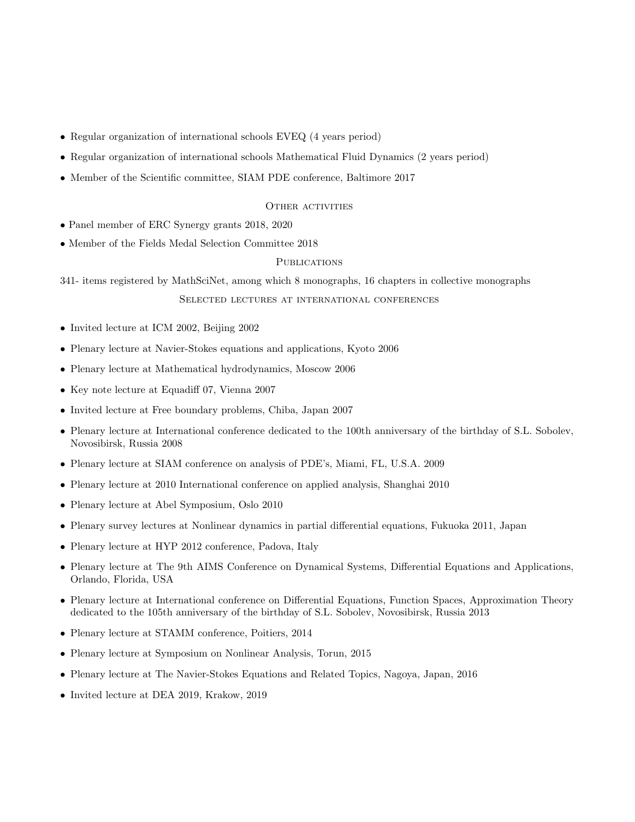- Regular organization of international schools EVEQ (4 years period)
- Regular organization of international schools Mathematical Fluid Dynamics (2 years period)
- Member of the Scientific committee, SIAM PDE conference, Baltimore 2017

#### OTHER ACTIVITIES

- Panel member of ERC Synergy grants 2018, 2020
- Member of the Fields Medal Selection Committee 2018

### **PUBLICATIONS**

341- items registered by MathSciNet, among which 8 monographs, 16 chapters in collective monographs

Selected lectures at international conferences

- Invited lecture at ICM 2002, Beijing 2002
- Plenary lecture at Navier-Stokes equations and applications, Kyoto 2006
- Plenary lecture at Mathematical hydrodynamics, Moscow 2006
- Key note lecture at Equadiff 07, Vienna 2007
- Invited lecture at Free boundary problems, Chiba, Japan 2007
- Plenary lecture at International conference dedicated to the 100th anniversary of the birthday of S.L. Sobolev, Novosibirsk, Russia 2008
- Plenary lecture at SIAM conference on analysis of PDE's, Miami, FL, U.S.A. 2009
- Plenary lecture at 2010 International conference on applied analysis, Shanghai 2010
- Plenary lecture at Abel Symposium, Oslo 2010
- Plenary survey lectures at Nonlinear dynamics in partial differential equations, Fukuoka 2011, Japan
- Plenary lecture at HYP 2012 conference, Padova, Italy
- Plenary lecture at The 9th AIMS Conference on Dynamical Systems, Differential Equations and Applications, Orlando, Florida, USA
- Plenary lecture at International conference on Differential Equations, Function Spaces, Approximation Theory dedicated to the 105th anniversary of the birthday of S.L. Sobolev, Novosibirsk, Russia 2013
- Plenary lecture at STAMM conference, Poitiers, 2014
- Plenary lecture at Symposium on Nonlinear Analysis, Torun, 2015
- Plenary lecture at The Navier-Stokes Equations and Related Topics, Nagoya, Japan, 2016
- Invited lecture at DEA 2019, Krakow, 2019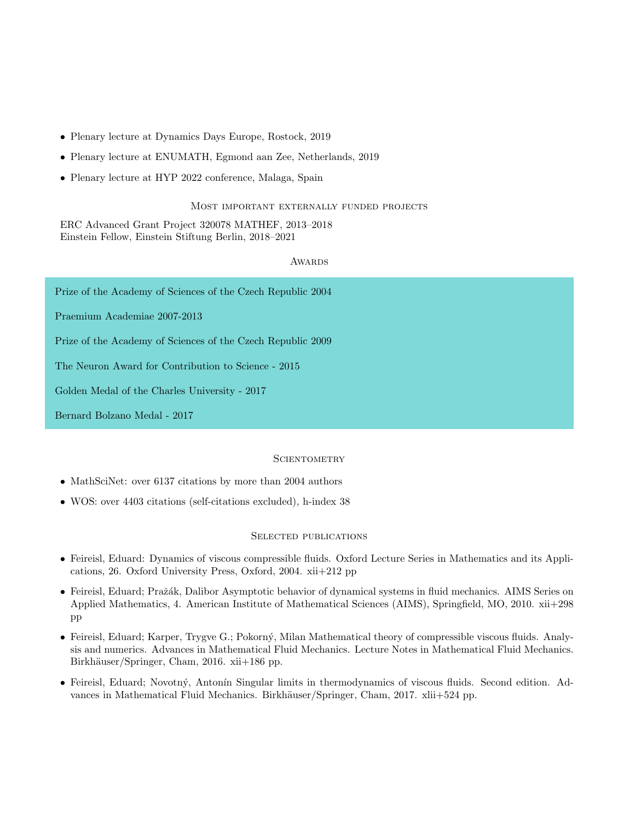- Plenary lecture at Dynamics Days Europe, Rostock, 2019
- Plenary lecture at ENUMATH, Egmond aan Zee, Netherlands, 2019
- Plenary lecture at HYP 2022 conference, Malaga, Spain

# Most important externally funded projects

ERC Advanced Grant Project 320078 MATHEF, 2013–2018 Einstein Fellow, Einstein Stiftung Berlin, 2018–2021

#### **AWARDS**

Prize of the Academy of Sciences of the Czech Republic 2004

Praemium Academiae 2007-2013

Prize of the Academy of Sciences of the Czech Republic 2009

The Neuron Award for Contribution to Science - 2015

Golden Medal of the Charles University - 2017

Bernard Bolzano Medal - 2017

### **SCIENTOMETRY**

- MathSciNet: over 6137 citations by more than 2004 authors
- WOS: over 4403 citations (self-citations excluded), h-index 38

#### Selected publications

- Feireisl, Eduard: Dynamics of viscous compressible fluids. Oxford Lecture Series in Mathematics and its Applications, 26. Oxford University Press, Oxford, 2004. xii+212 pp
- Feireisl, Eduard; Pražák, Dalibor Asymptotic behavior of dynamical systems in fluid mechanics. AIMS Series on Applied Mathematics, 4. American Institute of Mathematical Sciences (AIMS), Springfield, MO, 2010. xii+298 pp
- Feireisl, Eduard; Karper, Trygve G.; Pokorný, Milan Mathematical theory of compressible viscous fluids. Analysis and numerics. Advances in Mathematical Fluid Mechanics. Lecture Notes in Mathematical Fluid Mechanics. Birkhäuser/Springer, Cham, 2016. xii+186 pp.
- Feireisl, Eduard; Novotný, Antonín Singular limits in thermodynamics of viscous fluids. Second edition. Advances in Mathematical Fluid Mechanics. Birkhäuser/Springer, Cham, 2017. xlii+524 pp.